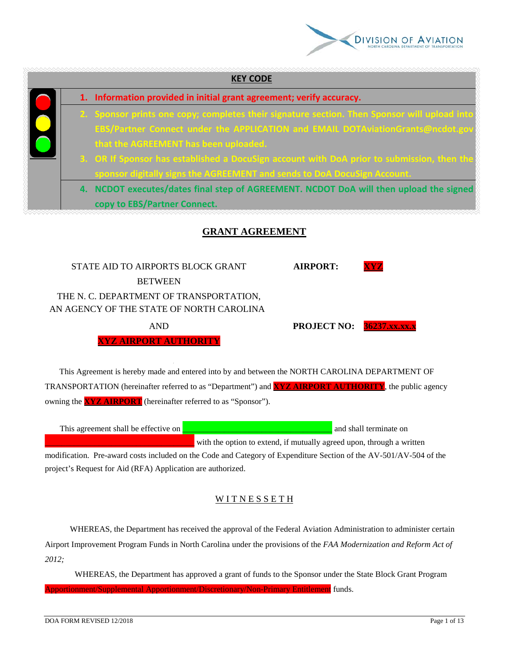

| <b>KEY CODE</b>                                                                              |
|----------------------------------------------------------------------------------------------|
| 1. Information provided in initial grant agreement; verify accuracy.                         |
| 2. Sponsor prints one copy; completes their signature section. Then Sponsor will upload into |
| EBS/Partner Connect under the APPLICATION and EMAIL DOTAviationGrants@ncdot.gov              |
| that the AGREEMENT has been uploaded.                                                        |
| 3. OR If Sponsor has established a DocuSign account with DoA prior to submission, then the   |
| sponsor digitally signs the AGREEMENT and sends to DoA DocuSign Account.                     |
| 4. NCDOT executes/dates final step of AGREEMENT. NCDOT DoA will then upload the signed       |
| copy to EBS/Partner Connect.                                                                 |
| <b>GRANT AGREEMENT</b>                                                                       |
| STATE AID TO AIRPORTS BLOCK GRANT<br><b>AIRPORT:</b><br>XYZ<br><b>BETWEEN</b>                |

THE N. C. DEPARTMENT OF TRANSPORTATION, AN AGENCY OF THE STATE OF NORTH CAROLINA

AND **PROJECT NO: 36237.xx.xx.x**

**XYZ AIRPORT AUTHORITY**

 This Agreement is hereby made and entered into by and between the NORTH CAROLINA DEPARTMENT OF TRANSPORTATION (hereinafter referred to as "Department") and **XYZ AIRPORT AUTHORITY**, the public agency owning the **XYZ AIRPORT** (hereinafter referred to as "Sponsor").

| This agreement shall be effective on |                                                                                                                    | and shall terminate on |
|--------------------------------------|--------------------------------------------------------------------------------------------------------------------|------------------------|
|                                      | with the option to extend, if mutually agreed upon, through a written                                              |                        |
|                                      | modification. Dre errord goets included on the Code and Category of Expenditure Section of the AV 501/AV 504 of th |                        |

modification. Pre-award costs included on the Code and Category of Expenditure Section of the AV-501/AV-504 of the project's Request for Aid (RFA) Application are authorized.

# WITNESSETH

 WHEREAS, the Department has received the approval of the Federal Aviation Administration to administer certain Airport Improvement Program Funds in North Carolina under the provisions of the *FAA Modernization and Reform Act of 2012;* 

WHEREAS, the Department has approved a grant of funds to the Sponsor under the State Block Grant Program Apportionment/Supplemental Apportionment/Discretionary/Non-Primary Entitlement funds.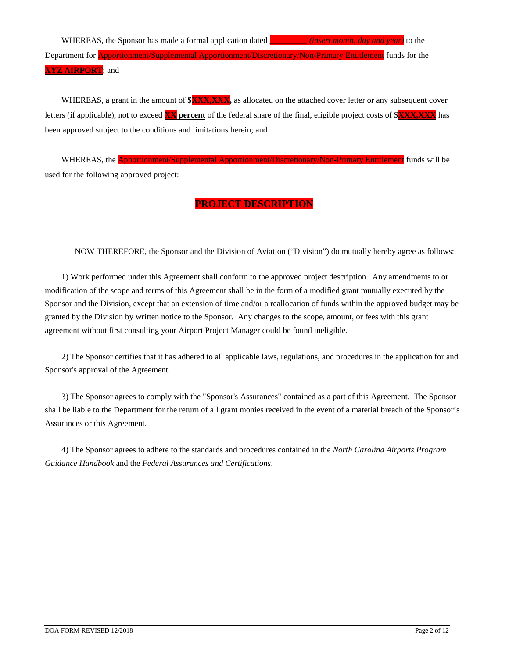WHEREAS, the Sponsor has made a formal application dated *\_\_\_\_\_\_\_\_\_ <i>(insert month, day and year)* to the Department for Apportionment/Supplemental Apportionment/Discretionary/Non-Primary Entitlement funds for the **XYZ AIRPORT**; and

WHEREAS, a grant in the amount of  $\frac{\partial \mathbf{XXX}, \mathbf{XXX}}{\partial x}$  as allocated on the attached cover letter or any subsequent cover letters (if applicable), not to exceed **XX percent** of the federal share of the final, eligible project costs of **\$XXX,XXX** has been approved subject to the conditions and limitations herein; and

WHEREAS, the **Apportionment/Supplemental Apportionment/Discretionary/Non-Primary Entitlement** funds will be used for the following approved project:

# **PROJECT DESCRIPTION**

NOW THEREFORE, the Sponsor and the Division of Aviation ("Division") do mutually hereby agree as follows:

 1) Work performed under this Agreement shall conform to the approved project description. Any amendments to or modification of the scope and terms of this Agreement shall be in the form of a modified grant mutually executed by the Sponsor and the Division, except that an extension of time and/or a reallocation of funds within the approved budget may be granted by the Division by written notice to the Sponsor. Any changes to the scope, amount, or fees with this grant agreement without first consulting your Airport Project Manager could be found ineligible.

 2) The Sponsor certifies that it has adhered to all applicable laws, regulations, and procedures in the application for and Sponsor's approval of the Agreement.

 3) The Sponsor agrees to comply with the "Sponsor's Assurances" contained as a part of this Agreement. The Sponsor shall be liable to the Department for the return of all grant monies received in the event of a material breach of the Sponsor's Assurances or this Agreement.

 4) The Sponsor agrees to adhere to the standards and procedures contained in the *North Carolina Airports Program Guidance Handbook* and the *Federal Assurances and Certifications*.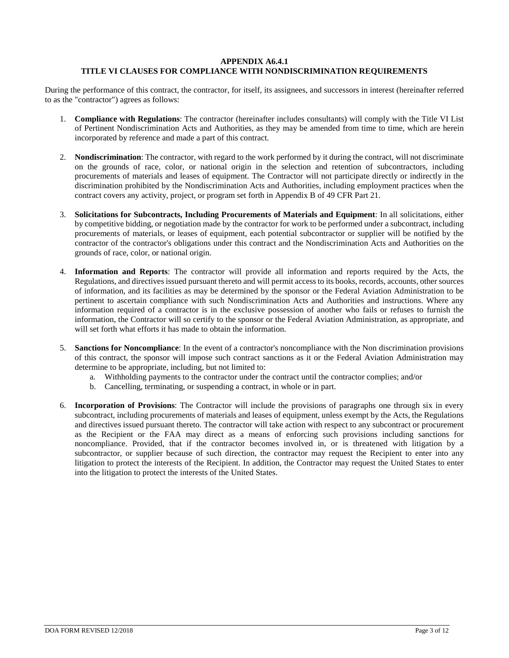#### **APPENDIX A6.4.1 TITLE VI CLAUSES FOR COMPLIANCE WITH NONDISCRIMINATION REQUIREMENTS**

During the performance of this contract, the contractor, for itself, its assignees, and successors in interest (hereinafter referred to as the "contractor") agrees as follows:

- 1. **Compliance with Regulations**: The contractor (hereinafter includes consultants) will comply with the Title VI List of Pertinent Nondiscrimination Acts and Authorities, as they may be amended from time to time, which are herein incorporated by reference and made a part of this contract.
- 2. **Nondiscrimination**: The contractor, with regard to the work performed by it during the contract, will not discriminate on the grounds of race, color, or national origin in the selection and retention of subcontractors, including procurements of materials and leases of equipment. The Contractor will not participate directly or indirectly in the discrimination prohibited by the Nondiscrimination Acts and Authorities, including employment practices when the contract covers any activity, project, or program set forth in Appendix B of 49 CFR Part 21.
- 3. **Solicitations for Subcontracts, Including Procurements of Materials and Equipment**: In all solicitations, either by competitive bidding, or negotiation made by the contractor for work to be performed under a subcontract, including procurements of materials, or leases of equipment, each potential subcontractor or supplier will be notified by the contractor of the contractor's obligations under this contract and the Nondiscrimination Acts and Authorities on the grounds of race, color, or national origin.
- 4. **Information and Reports**: The contractor will provide all information and reports required by the Acts, the Regulations, and directives issued pursuant thereto and will permit access to its books, records, accounts, other sources of information, and its facilities as may be determined by the sponsor or the Federal Aviation Administration to be pertinent to ascertain compliance with such Nondiscrimination Acts and Authorities and instructions. Where any information required of a contractor is in the exclusive possession of another who fails or refuses to furnish the information, the Contractor will so certify to the sponsor or the Federal Aviation Administration, as appropriate, and will set forth what efforts it has made to obtain the information.
- 5. **Sanctions for Noncompliance**: In the event of a contractor's noncompliance with the Non discrimination provisions of this contract, the sponsor will impose such contract sanctions as it or the Federal Aviation Administration may determine to be appropriate, including, but not limited to:
	- a. Withholding payments to the contractor under the contract until the contractor complies; and/or
	- b. Cancelling, terminating, or suspending a contract, in whole or in part.
- 6. **Incorporation of Provisions**: The Contractor will include the provisions of paragraphs one through six in every subcontract, including procurements of materials and leases of equipment, unless exempt by the Acts, the Regulations and directives issued pursuant thereto. The contractor will take action with respect to any subcontract or procurement as the Recipient or the FAA may direct as a means of enforcing such provisions including sanctions for noncompliance. Provided, that if the contractor becomes involved in, or is threatened with litigation by a subcontractor, or supplier because of such direction, the contractor may request the Recipient to enter into any litigation to protect the interests of the Recipient. In addition, the Contractor may request the United States to enter into the litigation to protect the interests of the United States.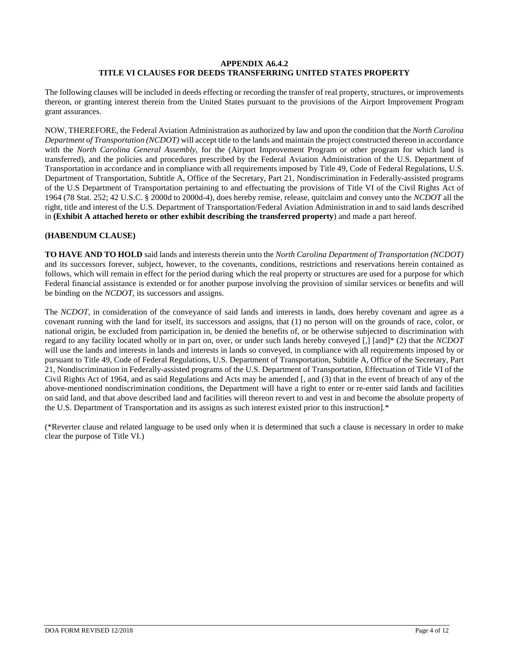### **APPENDIX A6.4.2 TITLE VI CLAUSES FOR DEEDS TRANSFERRING UNITED STATES PROPERTY**

The following clauses will be included in deeds effecting or recording the transfer of real property, structures, or improvements thereon, or granting interest therein from the United States pursuant to the provisions of the Airport Improvement Program grant assurances.

NOW, THEREFORE, the Federal Aviation Administration as authorized by law and upon the condition that the *North Carolina Department of Transportation (NCDOT)* will accept title to the lands and maintain the project constructed thereon in accordance with the *North Carolina General Assembly*, for the (Airport Improvement Program or other program for which land is transferred), and the policies and procedures prescribed by the Federal Aviation Administration of the U.S. Department of Transportation in accordance and in compliance with all requirements imposed by Title 49, Code of Federal Regulations, U.S. Department of Transportation, Subtitle A, Office of the Secretary, Part 21, Nondiscrimination in Federally-assisted programs of the U.S Department of Transportation pertaining to and effectuating the provisions of Title VI of the Civil Rights Act of 1964 (78 Stat. 252; 42 U.S.C. § 2000d to 2000d-4), does hereby remise, release, quitclaim and convey unto the *NCDOT* all the right, title and interest of the U.S. Department of Transportation/Federal Aviation Administration in and to said lands described in **(Exhibit A attached hereto or other exhibit describing the transferred property**) and made a part hereof.

### **(HABENDUM CLAUSE)**

**TO HAVE AND TO HOLD** said lands and interests therein unto the *North Carolina Department of Transportation (NCDOT)* and its successors forever, subject, however, to the covenants, conditions, restrictions and reservations herein contained as follows, which will remain in effect for the period during which the real property or structures are used for a purpose for which Federal financial assistance is extended or for another purpose involving the provision of similar services or benefits and will be binding on the *NCDOT*, its successors and assigns.

The *NCDOT*, in consideration of the conveyance of said lands and interests in lands, does hereby covenant and agree as a covenant running with the land for itself, its successors and assigns, that (1) no person will on the grounds of race, color, or national origin, be excluded from participation in, be denied the benefits of, or be otherwise subjected to discrimination with regard to any facility located wholly or in part on, over, or under such lands hereby conveyed [,] [and]\* (2) that the *NCDOT* will use the lands and interests in lands and interests in lands so conveyed, in compliance with all requirements imposed by or pursuant to Title 49, Code of Federal Regulations, U.S. Department of Transportation, Subtitle A, Office of the Secretary, Part 21, Nondiscrimination in Federally-assisted programs of the U.S. Department of Transportation, Effectuation of Title VI of the Civil Rights Act of 1964, and as said Regulations and Acts may be amended [, and (3) that in the event of breach of any of the above-mentioned nondiscrimination conditions, the Department will have a right to enter or re-enter said lands and facilities on said land, and that above described land and facilities will thereon revert to and vest in and become the absolute property of the U.S. Department of Transportation and its assigns as such interest existed prior to this instruction].\*

(\*Reverter clause and related language to be used only when it is determined that such a clause is necessary in order to make clear the purpose of Title VI.)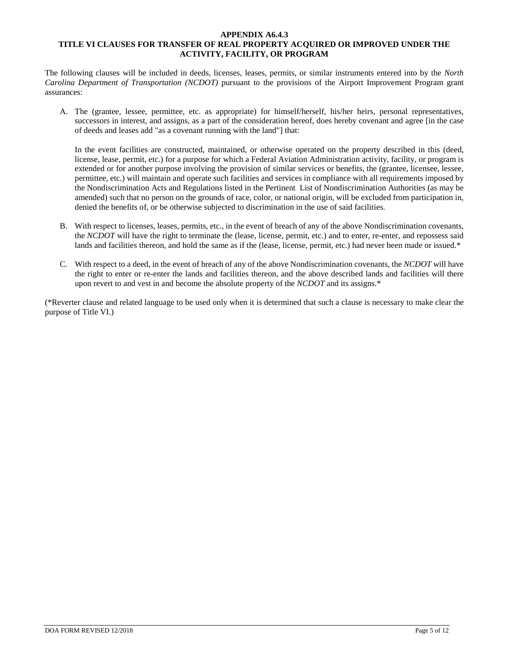#### **APPENDIX A6.4.3 TITLE VI CLAUSES FOR TRANSFER OF REAL PROPERTY ACQUIRED OR IMPROVED UNDER THE ACTIVITY, FACILITY, OR PROGRAM**

The following clauses will be included in deeds, licenses, leases, permits, or similar instruments entered into by the *North Carolina Department of Transportation (NCDOT)* pursuant to the provisions of the Airport Improvement Program grant assurances:

A. The (grantee, lessee, permittee, etc. as appropriate) for himself/herself, his/her heirs, personal representatives, successors in interest, and assigns, as a part of the consideration hereof, does hereby covenant and agree [in the case of deeds and leases add "as a covenant running with the land"] that:

In the event facilities are constructed, maintained, or otherwise operated on the property described in this (deed, license, lease, permit, etc.) for a purpose for which a Federal Aviation Administration activity, facility, or program is extended or for another purpose involving the provision of similar services or benefits, the (grantee, licensee, lessee, permittee, etc.) will maintain and operate such facilities and services in compliance with all requirements imposed by the Nondiscrimination Acts and Regulations listed in the Pertinent List of Nondiscrimination Authorities (as may be amended) such that no person on the grounds of race, color, or national origin, will be excluded from participation in, denied the benefits of, or be otherwise subjected to discrimination in the use of said facilities.

- B. With respect to licenses, leases, permits, etc., in the event of breach of any of the above Nondiscrimination covenants, the *NCDOT* will have the right to terminate the (lease, license, permit, etc.) and to enter, re-enter, and repossess said lands and facilities thereon, and hold the same as if the (lease, license, permit, etc.) had never been made or issued.\*
- C. With respect to a deed, in the event of breach of any of the above Nondiscrimination covenants, the *NCDOT* will have the right to enter or re-enter the lands and facilities thereon, and the above described lands and facilities will there upon revert to and vest in and become the absolute property of the *NCDOT* and its assigns.\*

(\*Reverter clause and related language to be used only when it is determined that such a clause is necessary to make clear the purpose of Title VI.)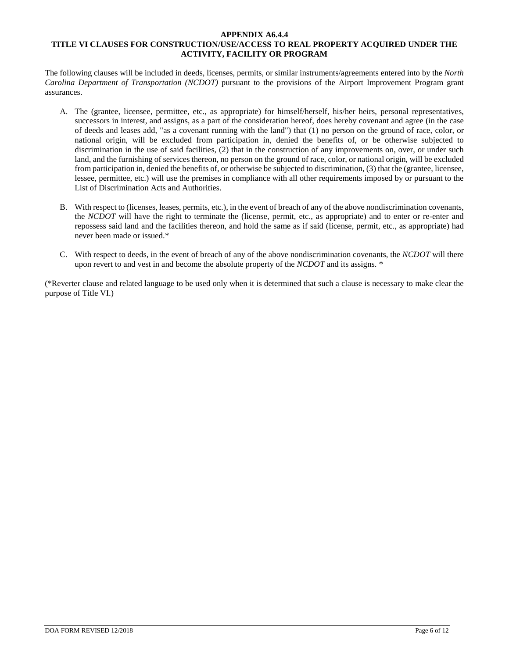#### **APPENDIX A6.4.4 TITLE VI CLAUSES FOR CONSTRUCTION/USE/ACCESS TO REAL PROPERTY ACQUIRED UNDER THE ACTIVITY, FACILITY OR PROGRAM**

The following clauses will be included in deeds, licenses, permits, or similar instruments/agreements entered into by the *North Carolina Department of Transportation (NCDOT)* pursuant to the provisions of the Airport Improvement Program grant assurances.

- A. The (grantee, licensee, permittee, etc., as appropriate) for himself/herself, his/her heirs, personal representatives, successors in interest, and assigns, as a part of the consideration hereof, does hereby covenant and agree (in the case of deeds and leases add, "as a covenant running with the land") that (1) no person on the ground of race, color, or national origin, will be excluded from participation in, denied the benefits of, or be otherwise subjected to discrimination in the use of said facilities, (2) that in the construction of any improvements on, over, or under such land, and the furnishing of services thereon, no person on the ground of race, color, or national origin, will be excluded from participation in, denied the benefits of, or otherwise be subjected to discrimination, (3) that the (grantee, licensee, lessee, permittee, etc.) will use the premises in compliance with all other requirements imposed by or pursuant to the List of Discrimination Acts and Authorities.
- B. With respect to (licenses, leases, permits, etc.), in the event of breach of any of the above nondiscrimination covenants, the *NCDOT* will have the right to terminate the (license, permit, etc., as appropriate) and to enter or re-enter and repossess said land and the facilities thereon, and hold the same as if said (license, permit, etc., as appropriate) had never been made or issued.\*
- C. With respect to deeds, in the event of breach of any of the above nondiscrimination covenants, the *NCDOT* will there upon revert to and vest in and become the absolute property of the *NCDOT* and its assigns. \*

(\*Reverter clause and related language to be used only when it is determined that such a clause is necessary to make clear the purpose of Title VI.)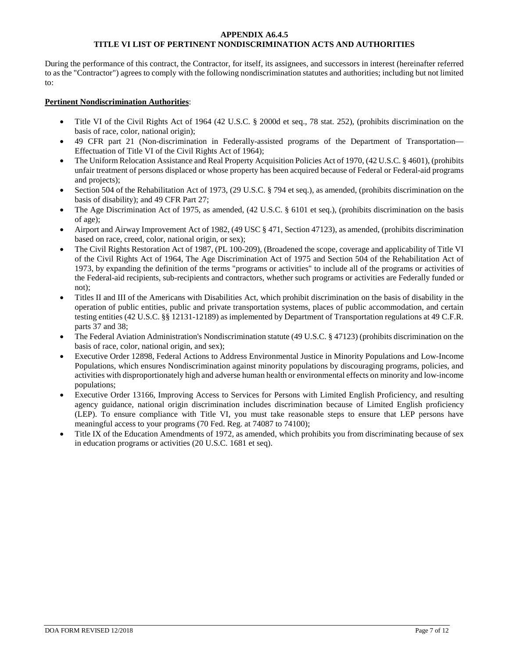#### **APPENDIX A6.4.5 TITLE VI LIST OF PERTINENT NONDISCRIMINATION ACTS AND AUTHORITIES**

During the performance of this contract, the Contractor, for itself, its assignees, and successors in interest (hereinafter referred to as the "Contractor") agrees to comply with the following nondiscrimination statutes and authorities; including but not limited to:

#### **Pertinent Nondiscrimination Authorities**:

- Title VI of the Civil Rights Act of 1964 (42 U.S.C. § 2000d et seq., 78 stat. 252), (prohibits discrimination on the basis of race, color, national origin);
- 49 CFR part 21 (Non-discrimination in Federally-assisted programs of the Department of Transportation— Effectuation of Title VI of the Civil Rights Act of 1964);
- The Uniform Relocation Assistance and Real Property Acquisition Policies Act of 1970, (42 U.S.C. § 4601), (prohibits unfair treatment of persons displaced or whose property has been acquired because of Federal or Federal-aid programs and projects);
- Section 504 of the Rehabilitation Act of 1973, (29 U.S.C. § 794 et seq.), as amended, (prohibits discrimination on the basis of disability); and 49 CFR Part 27;
- The Age Discrimination Act of 1975, as amended, (42 U.S.C. § 6101 et seq.), (prohibits discrimination on the basis of age);
- Airport and Airway Improvement Act of 1982, (49 USC § 471, Section 47123), as amended, (prohibits discrimination based on race, creed, color, national origin, or sex);
- The Civil Rights Restoration Act of 1987, (PL 100-209), (Broadened the scope, coverage and applicability of Title VI of the Civil Rights Act of 1964, The Age Discrimination Act of 1975 and Section 504 of the Rehabilitation Act of 1973, by expanding the definition of the terms "programs or activities" to include all of the programs or activities of the Federal-aid recipients, sub-recipients and contractors, whether such programs or activities are Federally funded or not);
- Titles II and III of the Americans with Disabilities Act, which prohibit discrimination on the basis of disability in the operation of public entities, public and private transportation systems, places of public accommodation, and certain testing entities (42 U.S.C. §§ 12131-12189) as implemented by Department of Transportation regulations at 49 C.F.R. parts 37 and 38;
- The Federal Aviation Administration's Nondiscrimination statute (49 U.S.C. § 47123) (prohibits discrimination on the basis of race, color, national origin, and sex);
- Executive Order 12898, Federal Actions to Address Environmental Justice in Minority Populations and Low-Income Populations, which ensures Nondiscrimination against minority populations by discouraging programs, policies, and activities with disproportionately high and adverse human health or environmental effects on minority and low-income populations;
- Executive Order 13166, Improving Access to Services for Persons with Limited English Proficiency, and resulting agency guidance, national origin discrimination includes discrimination because of Limited English proficiency (LEP). To ensure compliance with Title VI, you must take reasonable steps to ensure that LEP persons have meaningful access to your programs (70 Fed. Reg. at 74087 to 74100);
- Title IX of the Education Amendments of 1972, as amended, which prohibits you from discriminating because of sex in education programs or activities (20 U.S.C. 1681 et seq).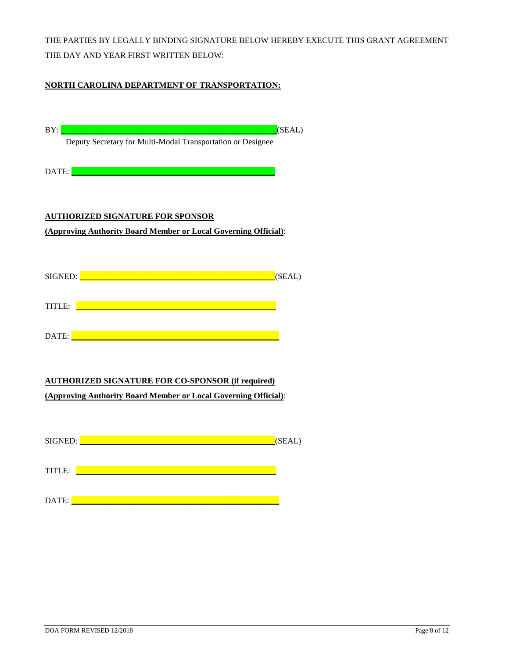THE PARTIES BY LEGALLY BINDING SIGNATURE BELOW HEREBY EXECUTE THIS GRANT AGREEMENT THE DAY AND YEAR FIRST WRITTEN BELOW:

## **NORTH CAROLINA DEPARTMENT OF TRANSPORTATION:**

| (SEAL)<br>BY:<br>Deputy Secretary for Multi-Modal Transportation or Designee                                                                                                                                                         |
|--------------------------------------------------------------------------------------------------------------------------------------------------------------------------------------------------------------------------------------|
| DATE:<br><u> 1989 - Johann Barn, mars an t-Amerikaansk kommunist (</u>                                                                                                                                                               |
| <b>AUTHORIZED SIGNATURE FOR SPONSOR</b><br>(Approving Authority Board Member or Local Governing Official):                                                                                                                           |
| SIGNED: <b>Example 2008</b> SIGNED:<br>(SEAL)                                                                                                                                                                                        |
| TITLE: <u>2000 - 2000 - 2000 - 2000 - 2000 - 2000 - 2000 - 2000 - 2000 - 2000 - 2000 - 2000 - 2000 - 2000 - 2000 - 2000 - 2000 - 2000 - 2000 - 2000 - 2000 - 2000 - 2000 - 2000 - 2000 - 2000 - 2000 - 2000 - 2000 - 2000 - 2000</u> |
|                                                                                                                                                                                                                                      |
| <b>AUTHORIZED SIGNATURE FOR CO-SPONSOR (if required)</b><br>(Approving Authority Board Member or Local Governing Official):                                                                                                          |
| (SEAL)                                                                                                                                                                                                                               |
| <u> 1989 - Johann John Stone, mars eta biztanleria (</u><br>TITLE:                                                                                                                                                                   |
| $\mathcal{L}^{\text{max}}_{\text{max}}$ and $\mathcal{L}^{\text{max}}_{\text{max}}$ and $\mathcal{L}^{\text{max}}_{\text{max}}$<br>DATE:                                                                                             |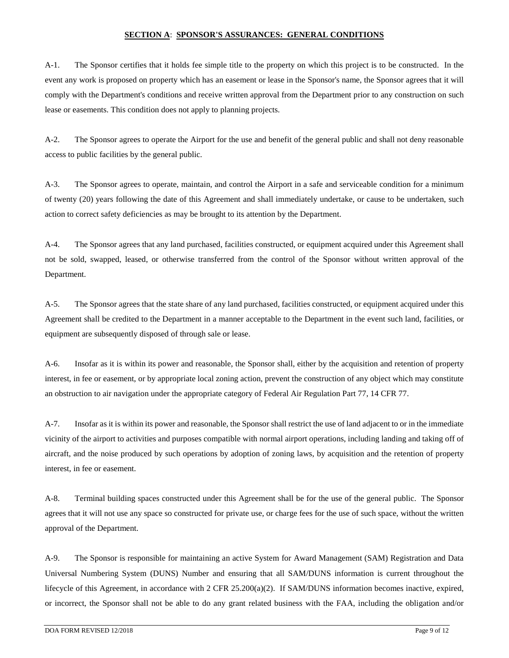#### **SECTION A**: **SPONSOR'S ASSURANCES: GENERAL CONDITIONS**

A-1. The Sponsor certifies that it holds fee simple title to the property on which this project is to be constructed. In the event any work is proposed on property which has an easement or lease in the Sponsor's name, the Sponsor agrees that it will comply with the Department's conditions and receive written approval from the Department prior to any construction on such lease or easements. This condition does not apply to planning projects.

A-2. The Sponsor agrees to operate the Airport for the use and benefit of the general public and shall not deny reasonable access to public facilities by the general public.

A-3. The Sponsor agrees to operate, maintain, and control the Airport in a safe and serviceable condition for a minimum of twenty (20) years following the date of this Agreement and shall immediately undertake, or cause to be undertaken, such action to correct safety deficiencies as may be brought to its attention by the Department.

A-4. The Sponsor agrees that any land purchased, facilities constructed, or equipment acquired under this Agreement shall not be sold, swapped, leased, or otherwise transferred from the control of the Sponsor without written approval of the Department.

A-5. The Sponsor agrees that the state share of any land purchased, facilities constructed, or equipment acquired under this Agreement shall be credited to the Department in a manner acceptable to the Department in the event such land, facilities, or equipment are subsequently disposed of through sale or lease.

A-6. Insofar as it is within its power and reasonable, the Sponsor shall, either by the acquisition and retention of property interest, in fee or easement, or by appropriate local zoning action, prevent the construction of any object which may constitute an obstruction to air navigation under the appropriate category of Federal Air Regulation Part 77, 14 CFR 77.

A-7. Insofar as it is within its power and reasonable, the Sponsor shall restrict the use of land adjacent to or in the immediate vicinity of the airport to activities and purposes compatible with normal airport operations, including landing and taking off of aircraft, and the noise produced by such operations by adoption of zoning laws, by acquisition and the retention of property interest, in fee or easement.

A-8. Terminal building spaces constructed under this Agreement shall be for the use of the general public. The Sponsor agrees that it will not use any space so constructed for private use, or charge fees for the use of such space, without the written approval of the Department.

A-9. The Sponsor is responsible for maintaining an active System for Award Management (SAM) Registration and Data Universal Numbering System (DUNS) Number and ensuring that all SAM/DUNS information is current throughout the lifecycle of this Agreement, in accordance with 2 CFR 25.200(a)(2). If SAM/DUNS information becomes inactive, expired, or incorrect, the Sponsor shall not be able to do any grant related business with the FAA, including the obligation and/or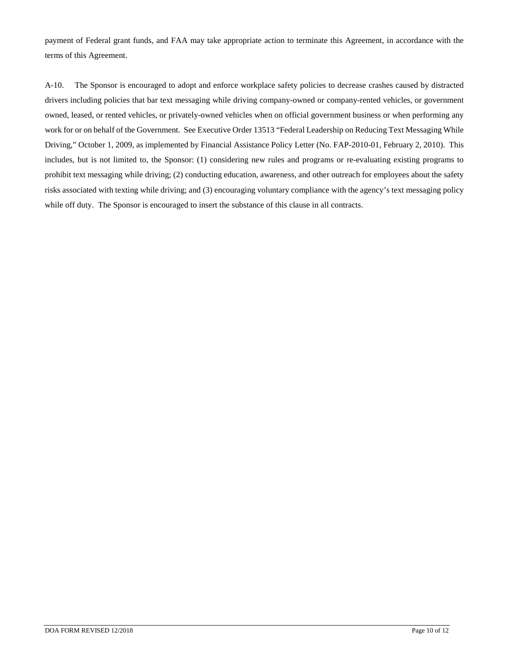payment of Federal grant funds, and FAA may take appropriate action to terminate this Agreement, in accordance with the terms of this Agreement.

A-10. The Sponsor is encouraged to adopt and enforce workplace safety policies to decrease crashes caused by distracted drivers including policies that bar text messaging while driving company-owned or company-rented vehicles, or government owned, leased, or rented vehicles, or privately-owned vehicles when on official government business or when performing any work for or on behalf of the Government. See Executive Order 13513 "Federal Leadership on Reducing Text Messaging While Driving," October 1, 2009, as implemented by Financial Assistance Policy Letter (No. FAP-2010-01, February 2, 2010). This includes, but is not limited to, the Sponsor: (1) considering new rules and programs or re-evaluating existing programs to prohibit text messaging while driving; (2) conducting education, awareness, and other outreach for employees about the safety risks associated with texting while driving; and (3) encouraging voluntary compliance with the agency's text messaging policy while off duty. The Sponsor is encouraged to insert the substance of this clause in all contracts.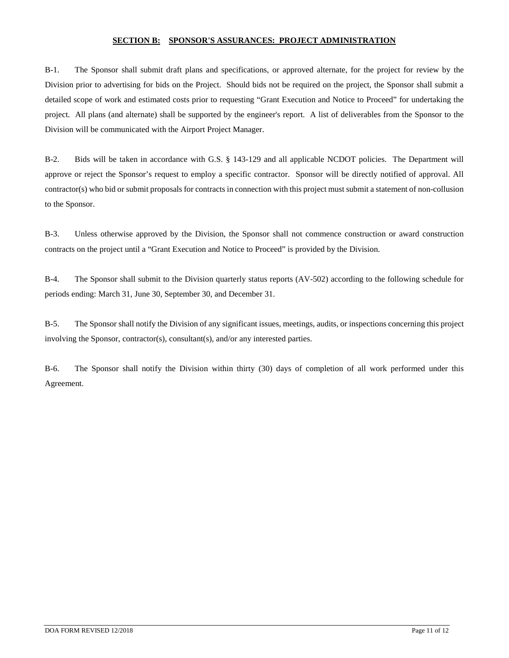#### **SECTION B: SPONSOR'S ASSURANCES: PROJECT ADMINISTRATION**

B-1. The Sponsor shall submit draft plans and specifications, or approved alternate, for the project for review by the Division prior to advertising for bids on the Project. Should bids not be required on the project, the Sponsor shall submit a detailed scope of work and estimated costs prior to requesting "Grant Execution and Notice to Proceed" for undertaking the project. All plans (and alternate) shall be supported by the engineer's report. A list of deliverables from the Sponsor to the Division will be communicated with the Airport Project Manager.

B-2. Bids will be taken in accordance with G.S. § 143-129 and all applicable NCDOT policies. The Department will approve or reject the Sponsor's request to employ a specific contractor. Sponsor will be directly notified of approval. All contractor(s) who bid or submit proposals for contracts in connection with this project must submit a statement of non-collusion to the Sponsor.

B-3. Unless otherwise approved by the Division, the Sponsor shall not commence construction or award construction contracts on the project until a "Grant Execution and Notice to Proceed" is provided by the Division.

B-4. The Sponsor shall submit to the Division quarterly status reports (AV-502) according to the following schedule for periods ending: March 31, June 30, September 30, and December 31.

B-5. The Sponsor shall notify the Division of any significant issues, meetings, audits, or inspections concerning this project involving the Sponsor, contractor(s), consultant(s), and/or any interested parties.

B-6. The Sponsor shall notify the Division within thirty (30) days of completion of all work performed under this Agreement.